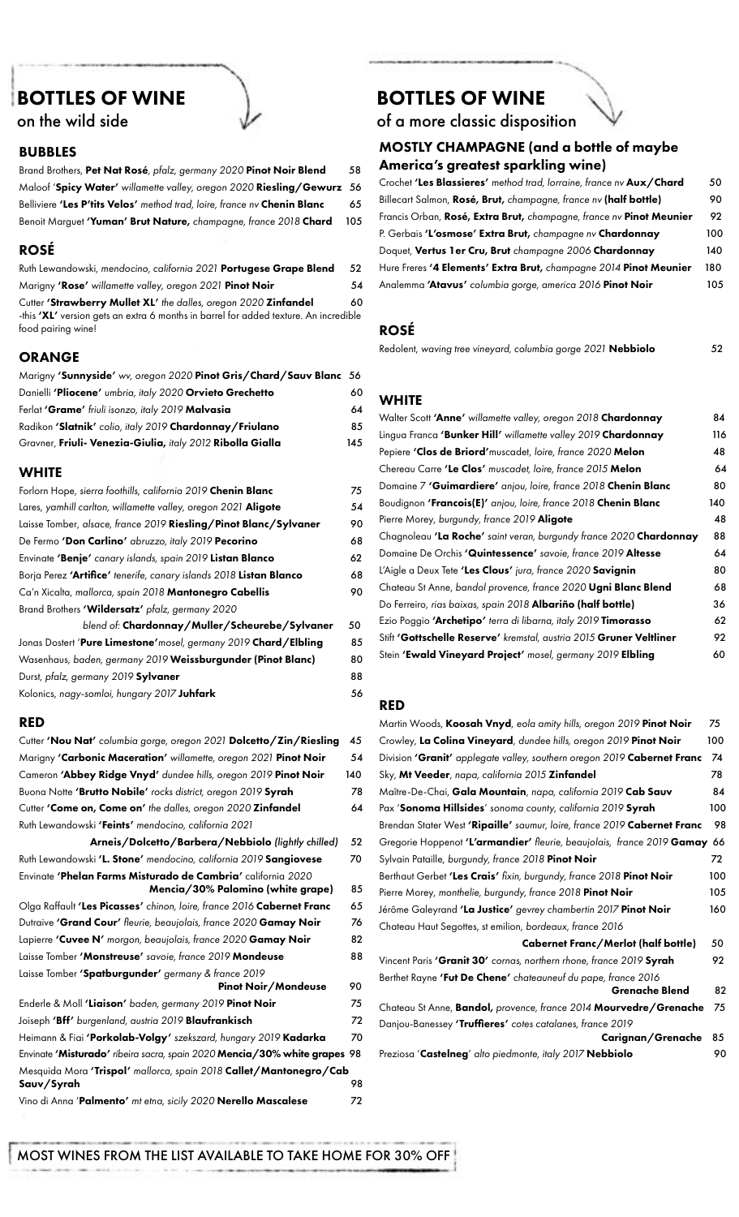# BOTTLES OF WINE on the wild side



## BUBBLES

Brand Brothers, Pet Nat Rosé*, pfalz, germany 2020* Pinot Noir Blend 58 Maloof 'Spicy Water' *willamette valley, oregon 2020* Riesling/Gewurz 56 Belliviere 'Les P'tits Velos' *method trad, loire, france nv* Chenin Blanc 65 Benoit Marguet 'Yuman' Brut Nature, *champagne, france 2018* Chard 105

## ROSÉ

Ruth Lewandowski, *mendocino, california 2021* Portugese Grape Blend 52 Marigny 'Rose' *willamette valley, oregon 2021* Pinot Noir 54 Cutter 'Strawberry Mullet XL' the dalles, oregon 2020 Zinfandel 60 -this 'XL' version gets an extra 6 months in barrel for added texture. An incredible food pairing wine!

### ORANGE

| Marigny 'Sunnyside' wv, oregon 2020 Pinot Gris/Chard/Sauv Blanc 56 |     |
|--------------------------------------------------------------------|-----|
| Danielli 'Pliocene' umbria, italy 2020 Orvieto Grechetto           | 60  |
| Ferlat 'Grame' friuli isonzo, italy 2019 Malvasia                  | 64  |
| Radikon 'Slatnik' colio, italy 2019 Chardonnay / Friulano          | 85  |
| Gravner, Friuli- Venezia-Giulia, italy 2012 Ribolla Gialla         | 145 |

#### **WHITE**

| Forlorn Hope, sierra foothills, california 2019 Chenin Blanc       | 75 |
|--------------------------------------------------------------------|----|
| Lares, yamhill carlton, willamette valley, oregon 2021 Aligote     | 54 |
| Laisse Tomber, alsace, france 2019 Riesling/Pinot Blanc/Sylvaner   | 90 |
| De Fermo 'Don Carlino' abruzzo, italy 2019 Pecorino                | 68 |
| Envinate 'Benje' canary islands, spain 2019 Listan Blanco          | 62 |
| Borja Perez 'Artifice' tenerife, canary islands 2018 Listan Blanco | 68 |
| Ca'n Xicalta, mallorca, spain 2018 Mantonegro Cabellis             | 90 |
| Brand Brothers 'Wildersatz' pfalz, germany 2020                    |    |
| blend of: Chardonnay/Muller/Scheurebe/Sylvaner                     | 50 |

Jonas Dostert 'Pure Limestone'*mosel, germany 2019* Chard/Elbling 85 Wasenhaus, *baden, germany 2019* Weissburgunder (Pinot Blanc) 80 Durst, *pfalz, germany 2019* Sylvaner 88 Kolonics, *nagy-somloi, hungary 2017* Juhfark **56** 

#### RED

| Cutter 'Nou Nat' columbia gorge, oregon 2021 Dolcetto/Zin/Riesling                                | 45  |
|---------------------------------------------------------------------------------------------------|-----|
| Marigny 'Carbonic Maceration' willamette, oregon 2021 Pinot Noir                                  | 54  |
| Cameron 'Abbey Ridge Vnyd' dundee hills, oregon 2019 Pinot Noir                                   | 140 |
| Buona Notte 'Brutto Nobile' rocks district, oregon 2019 Syrah                                     | 78  |
| Cutter 'Come on, Come on' the dalles, oregon 2020 Zinfandel                                       | 64  |
| Ruth Lewandowski 'Feints' mendocino, california 2021                                              |     |
| Arneis/Dolcetto/Barbera/Nebbiolo (lightly chilled)                                                | 52  |
| Ruth Lewandowski 'L. Stone' mendocino, california 2019 Sangiovese                                 | 70  |
| Envinate 'Phelan Farms Misturado de Cambria' california 2020<br>Mencia/30% Palomino (white grape) | 85  |
| Olga Raffault 'Les Picasses' chinon, loire, france 2016 Cabernet Franc                            | 65  |
| Dutraive 'Grand Cour' fleurie, beaujolais, france 2020 Gamay Noir                                 | 76  |
| Lapierre 'Cuvee N' morgon, beaujolais, france 2020 Gamay Noir                                     | 82  |
| Laisse Tomber 'Monstreuse' savoie, france 2019 Mondeuse                                           | 88  |
| Laisse Tomber 'Spatburgunder' germany & france 2019<br><b>Pinot Noir/Mondeuse</b>                 | 90  |
| Enderle & Moll 'Liaison' baden, germany 2019 Pinot Noir                                           | 75  |
| Joiseph <b>'Bff'</b> burgenland, austria 2019 <b>Blaufrankisch</b>                                | 72  |
| Heimann & Fiai 'Porkolab-Volgy' szekszard, hungary 2019 Kadarka                                   | 70  |
| Envinate 'Misturado' ribeira sacra, spain 2020 Mencia/30% white grapes 98                         |     |
| Mesquida Mora 'Trispol' mallorca, spain 2018 Callet/Mantonegro/Cab<br>Sauv/Syrah                  | 98  |
| Vino di Anna 'Palmento' mt etna, sicily 2020 Nerello Mascalese                                    | 72  |

# BOTTLES OF WINE

of a more classic disposition

## MOSTLY CHAMPAGNE (and a bottle of maybe America's greatest sparkling wine)

| Crochet 'Les Blassieres' method trad, lorraine, france nv Aux/Chard | 50  |
|---------------------------------------------------------------------|-----|
| Billecart Salmon, Rosé, Brut, champagne, france ny (half bottle)    | 90  |
| Francis Orban, Rosé, Extra Brut, champagne, france ny Pinot Meunier | 92  |
| P. Gerbais 'L'osmose' Extra Brut, champagne ny Chardonnay           | 100 |
| Doquet, Vertus 1er Cru, Brut champagne 2006 Chardonnay              | 140 |
| Hure Freres '4 Elements' Extra Brut, champagne 2014 Pinot Meunier   | 180 |
| Analemma 'Atavus' columbia gorge, america 2016 Pinot Noir           | 105 |

## ROSÉ

Redolent, *waving tree vineyard, columbia gorge 2021* Nebbiolo 52

## **WHITE**

| Walter Scott 'Anne' willamette valley, oregon 2018 Chardonnay               | 84  |
|-----------------------------------------------------------------------------|-----|
| Lingua Franca <b>'Bunker Hill'</b> willamette valley 2019 <b>Chardonnay</b> | 116 |
| Pepiere 'Clos de Briord' muscadet, loire, france 2020 Melon                 | 48  |
| Chereau Carre 'Le Clos' muscadet, loire, france 2015 Melon                  | 64  |
| Domaine 7 'Guimardiere' anjou, loire, france 2018 Chenin Blanc              | 80  |
| Boudignon 'Francois(E)' anjou, loire, france 2018 Chenin Blanc              | 140 |
| Pierre Morey, burgundy, france 2019 Aligote                                 | 48  |
| Chagnoleau 'La Roche' saint veran, burgundy france 2020 Chardonnay          | 88  |
| Domaine De Orchis 'Quintessence' savoie, france 2019 Altesse                | 64  |
| L'Aigle a Deux Tete 'Les Clous' jura, france 2020 Savignin                  | 80  |
| Chateau St Anne, bandol provence, france 2020 Ugni Blanc Blend              | 68  |
| Do Ferreiro, rias baixas, spain 2018 Albariño (half bottle)                 | 36  |
| Ezio Poggio 'Archetipo' terra di libarna, italy 2019 Timorasso              | 62  |
| Stift 'Gottschelle Reserve' kremstal, austria 2015 Gruner Veltliner         | 92  |
| Stein 'Ewald Vineyard Project' mosel, germany 2019 Elbling                  | 60  |

## RED

| Martin Woods, Koosah Vnyd, eola amity hills, oregon 2019 Pinot Noir       | 75  |
|---------------------------------------------------------------------------|-----|
| Crowley, La Colina Vineyard, dundee hills, oregon 2019 Pinot Noir         | 100 |
| Division 'Granit' applegate valley, southern oregon 2019 Cabernet Franc   | 74  |
| Sky, Mt Veeder, napa, california 2015 Zinfandel                           | 78  |
| Maître-De-Chai, Gala Mountain, napa, california 2019 Cab Sauv             | 84  |
| Pax 'Sonoma Hillsides' sonoma county, california 2019 Syrah               | 100 |
| Brendan Stater West 'Ripaille' saumur, loire, france 2019 Cabernet Franc  | 98  |
| Gregorie Hoppenot 'L'armandier' fleurie, beaujolais, france 2019 Gamay 66 |     |
| Sylvain Pataille, burgundy, france 2018 Pinot Noir                        | 72  |
| Berthaut Gerbet 'Les Crais' fixin, burgundy, france 2018 Pinot Noir       | 100 |
| Pierre Morey, monthelie, burgundy, france 2018 Pinot Noir                 | 105 |
| Jérôme Galeyrand 'La Justice' gevrey chambertin 2017 Pinot Noir           | 160 |
| Chateau Haut Segottes, st emilion, bordeaux, france 2016                  |     |
| Cabernet Franc/Merlot (half bottle)                                       | 50  |
| Vincent Paris 'Granit 30' cornas, northern rhone, france 2019 Syrah       | 92  |
| Berthet Rayne 'Fut De Chene' chateauneuf du pape, france 2016             |     |
| <b>Grenache Blend</b>                                                     | 82  |
| Chateau St Anne, Bandol, provence, france 2014 Mourvedre/Grenache         | 75  |
| Danjou-Banessey 'Truffieres' cotes catalanes, france 2019                 |     |
| Carignan/Grenache                                                         | 85  |
| Preziosa 'Castelneg' alto piedmonte, italy 2017 Nebbiolo                  | 90  |

MOST WINES FROM THE LIST AVAILABLE TO TAKE HOME FOR 30% OFF